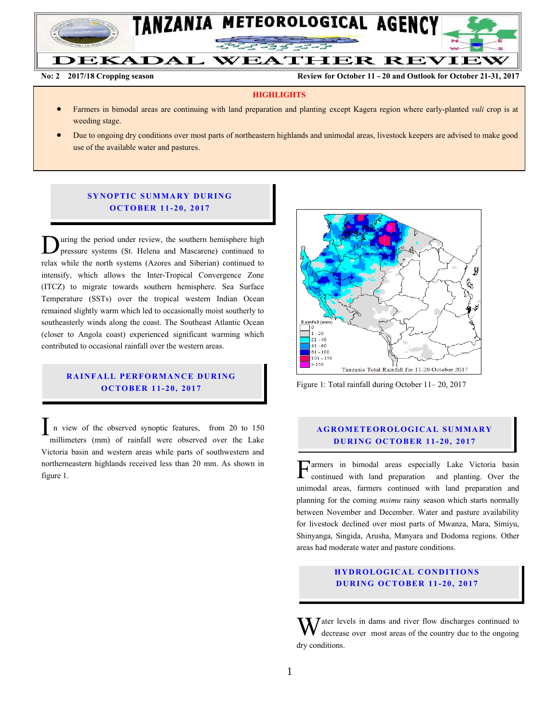

**No: 2 2017/18 Cropping season Review for October 11 - 20 and Outlook for October 21-31, 2017**

#### **HIGHLIGHTS**

- Farmers in bimodal areas are continuing with land preparation and planting except Kagera region where early-planted *vuli* crop is at weeding stage.
- Due to ongoing dry conditions over most parts of northeastern highlands and unimodal areas, livestock keepers are advised to make good use of the available water and pastures.

### **SYNOPTIC SUMMARY DURING O C TO BER 1 1- 20, 2017**

uring the period under review, the southern hemisphere high pressure systems (St. Helena and Mascarene) continued to Uning the period under review, the southern hemisphere high pressure systems (St. Helena and Mascarene) continued to relax while the north systems (Azores and Siberian) continued to intensify, which allows the Inter-Tropical Convergence Zone (ITCZ) to migrate towards southern hemisphere. Sea Surface Temperature (SSTs) over the tropical western Indian Ocean remained slightly warm which led to occasionally moist southerly to southeasterly winds along the coast. The Southeast Atlantic Ocean (closer to Angola coast) experienced significant warming which contributed to occasional rainfall over the western areas.

### **RAINFALL PERFORMANCE DURING O C TO BER 1 1- 20, 2017**

n view of the observed synoptic features, from 20 to 150 millimeters (mm) of rainfall were observed over the Lake Victoria basin and western areas while parts of southwestern and northerneastern highlands received less than 20 mm. As shown in figure 1. I



Figure 1: Total rainfall during October 11– 20, 2017

#### **A G RO METEO R O LOG ICA L SU MMA RY D UR ING OC TO BER 1 1- 20, 2017**

armers in bimodal areas especially Lake Victoria basin continued with land preparation and planting. Over the unimodal areas, farmers continued with land preparation and planning for the coming *msimu* rainy season which starts normally between November and December. Water and pasture availability for livestock declined over most parts of Mwanza, Mara, Simiyu, Shinyanga, Singida, Arusha, Manyara and Dodoma regions. Other areas had moderate water and pasture conditions. F

## **HYDROLOGICAL CONDITIONS D UR ING OC TO BER 1 1- 20, 2017**

 $\bar{J}$  ater levels in dams and river flow discharges continued to decrease over most areas of the country due to the ongoing dry conditions. W